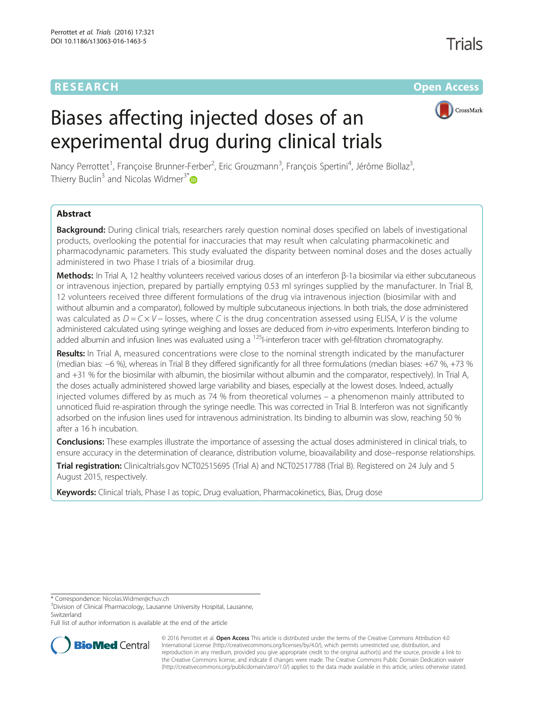# RESEARCH **RESEARCH CONSUMING THE CONSUMING THE CONSUMING THE CONSUMING TEAM Open Access**



# Biases affecting injected doses of an experimental drug during clinical trials

Nancy Perrottet<sup>1</sup>, Françoise Brunner-Ferber<sup>2</sup>, Eric Grouzmann<sup>3</sup>, François Spertini<sup>4</sup>, Jérôme Biollaz<sup>3</sup> , Thierry Buclin<sup>3</sup> and Nicolas Widmer<sup>3[\\*](http://orcid.org/0000-0001-7392-2418)</sup>

# Abstract

Background: During clinical trials, researchers rarely question nominal doses specified on labels of investigational products, overlooking the potential for inaccuracies that may result when calculating pharmacokinetic and pharmacodynamic parameters. This study evaluated the disparity between nominal doses and the doses actually administered in two Phase I trials of a biosimilar drug.

Methods: In Trial A, 12 healthy volunteers received various doses of an interferon β-1a biosimilar via either subcutaneous or intravenous injection, prepared by partially emptying 0.53 ml syringes supplied by the manufacturer. In Trial B, 12 volunteers received three different formulations of the drug via intravenous injection (biosimilar with and without albumin and a comparator), followed by multiple subcutaneous injections. In both trials, the dose administered was calculated as  $D = C \times V -$  losses, where C is the drug concentration assessed using ELISA, V is the volume administered calculated using syringe weighing and losses are deduced from in-vitro experiments. Interferon binding to added albumin and infusion lines was evaluated using a <sup>125</sup>I-interferon tracer with gel-filtration chromatography.

Results: In Trial A, measured concentrations were close to the nominal strength indicated by the manufacturer (median bias: −6 %), whereas in Trial B they differed significantly for all three formulations (median biases: +67 %, +73 % and +31 % for the biosimilar with albumin, the biosimilar without albumin and the comparator, respectively). In Trial A, the doses actually administered showed large variability and biases, especially at the lowest doses. Indeed, actually injected volumes differed by as much as 74 % from theoretical volumes – a phenomenon mainly attributed to unnoticed fluid re-aspiration through the syringe needle. This was corrected in Trial B. Interferon was not significantly adsorbed on the infusion lines used for intravenous administration. Its binding to albumin was slow, reaching 50 % after a 16 h incubation.

Conclusions: These examples illustrate the importance of assessing the actual doses administered in clinical trials, to ensure accuracy in the determination of clearance, distribution volume, bioavailability and dose–response relationships.

Trial registration: Clinicaltrials.gov [NCT02515695](https://clinicaltrials.gov/ct2/show/NCT02515695) (Trial A) and [NCT02517788](https://clinicaltrials.gov/ct2/show/NCT02517788) (Trial B). Registered on 24 July and 5 August 2015, respectively.

Keywords: Clinical trials, Phase I as topic, Drug evaluation, Pharmacokinetics, Bias, Drug dose

\* Correspondence: [Nicolas.Widmer@chuv.ch](mailto:Nicolas.Widmer@chuv.ch) <sup>3</sup>

Full list of author information is available at the end of the article



© 2016 Perrottet et al. **Open Access** This article is distributed under the terms of the Creative Commons Attribution 4.0 International License [\(http://creativecommons.org/licenses/by/4.0/](http://creativecommons.org/licenses/by/4.0/)), which permits unrestricted use, distribution, and reproduction in any medium, provided you give appropriate credit to the original author(s) and the source, provide a link to the Creative Commons license, and indicate if changes were made. The Creative Commons Public Domain Dedication waiver [\(http://creativecommons.org/publicdomain/zero/1.0/](http://creativecommons.org/publicdomain/zero/1.0/)) applies to the data made available in this article, unless otherwise stated.

<sup>&</sup>lt;sup>3</sup>Division of Clinical Pharmacology, Lausanne University Hospital, Lausanne, **Switzerland**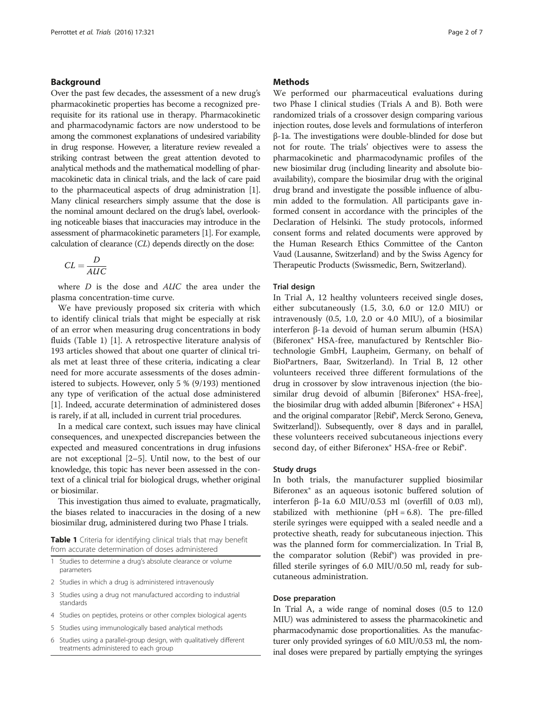#### Background

Over the past few decades, the assessment of a new drug's pharmacokinetic properties has become a recognized prerequisite for its rational use in therapy. Pharmacokinetic and pharmacodynamic factors are now understood to be among the commonest explanations of undesired variability in drug response. However, a literature review revealed a striking contrast between the great attention devoted to analytical methods and the mathematical modelling of pharmacokinetic data in clinical trials, and the lack of care paid to the pharmaceutical aspects of drug administration [[1](#page-6-0)]. Many clinical researchers simply assume that the dose is the nominal amount declared on the drug's label, overlooking noticeable biases that inaccuracies may introduce in the assessment of pharmacokinetic parameters [\[1\]](#page-6-0). For example, calculation of clearance (CL) depends directly on the dose:

$$
CL = \frac{D}{AUC}
$$

where D is the dose and AUC the area under the plasma concentration-time curve.

We have previously proposed six criteria with which to identify clinical trials that might be especially at risk of an error when measuring drug concentrations in body fluids (Table 1) [\[1](#page-6-0)]. A retrospective literature analysis of 193 articles showed that about one quarter of clinical trials met at least three of these criteria, indicating a clear need for more accurate assessments of the doses administered to subjects. However, only 5 % (9/193) mentioned any type of verification of the actual dose administered [[1\]](#page-6-0). Indeed, accurate determination of administered doses is rarely, if at all, included in current trial procedures.

In a medical care context, such issues may have clinical consequences, and unexpected discrepancies between the expected and measured concentrations in drug infusions are not exceptional [\[2](#page-6-0)–[5\]](#page-6-0). Until now, to the best of our knowledge, this topic has never been assessed in the context of a clinical trial for biological drugs, whether original or biosimilar.

This investigation thus aimed to evaluate, pragmatically, the biases related to inaccuracies in the dosing of a new biosimilar drug, administered during two Phase I trials.

Table 1 Criteria for identifying clinical trials that may benefit from accurate determination of doses administered

- 1 Studies to determine a drug's absolute clearance or volume parameters
- 2 Studies in which a drug is administered intravenously
- 3 Studies using a drug not manufactured according to industrial standards
- 4 Studies on peptides, proteins or other complex biological agents
- 5 Studies using immunologically based analytical methods
- 6 Studies using a parallel-group design, with qualitatively different treatments administered to each group

#### **Methods**

We performed our pharmaceutical evaluations during two Phase I clinical studies (Trials A and B). Both were randomized trials of a crossover design comparing various injection routes, dose levels and formulations of interferon β-1a. The investigations were double-blinded for dose but not for route. The trials' objectives were to assess the pharmacokinetic and pharmacodynamic profiles of the new biosimilar drug (including linearity and absolute bioavailability), compare the biosimilar drug with the original drug brand and investigate the possible influence of albumin added to the formulation. All participants gave informed consent in accordance with the principles of the Declaration of Helsinki. The study protocols, informed consent forms and related documents were approved by the Human Research Ethics Committee of the Canton Vaud (Lausanne, Switzerland) and by the Swiss Agency for Therapeutic Products (Swissmedic, Bern, Switzerland).

#### Trial design

In Trial A, 12 healthy volunteers received single doses, either subcutaneously (1.5, 3.0, 6.0 or 12.0 MIU) or intravenously (0.5, 1.0, 2.0 or 4.0 MIU), of a biosimilar interferon β-1a devoid of human serum albumin (HSA) (Biferonex® HSA-free, manufactured by Rentschler Biotechnologie GmbH, Laupheim, Germany, on behalf of BioPartners, Baar, Switzerland). In Trial B, 12 other volunteers received three different formulations of the drug in crossover by slow intravenous injection (the biosimilar drug devoid of albumin [Biferonex<sup>®</sup> HSA-free], the biosimilar drug with added albumin [Biferonex® + HSA] and the original comparator [Rebif®, Merck Serono, Geneva, Switzerland]). Subsequently, over 8 days and in parallel, these volunteers received subcutaneous injections every second day, of either Biferonex® HSA-free or Rebif®.

#### Study drugs

In both trials, the manufacturer supplied biosimilar Biferonex® as an aqueous isotonic buffered solution of interferon β-1a 6.0 MIU/0.53 ml (overfill of 0.03 ml), stabilized with methionine  $(pH = 6.8)$ . The pre-filled sterile syringes were equipped with a sealed needle and a protective sheath, ready for subcutaneous injection. This was the planned form for commercialization. In Trial B, the comparator solution (Rebif®) was provided in prefilled sterile syringes of 6.0 MIU/0.50 ml, ready for subcutaneous administration.

#### Dose preparation

In Trial A, a wide range of nominal doses (0.5 to 12.0 MIU) was administered to assess the pharmacokinetic and pharmacodynamic dose proportionalities. As the manufacturer only provided syringes of 6.0 MIU/0.53 ml, the nominal doses were prepared by partially emptying the syringes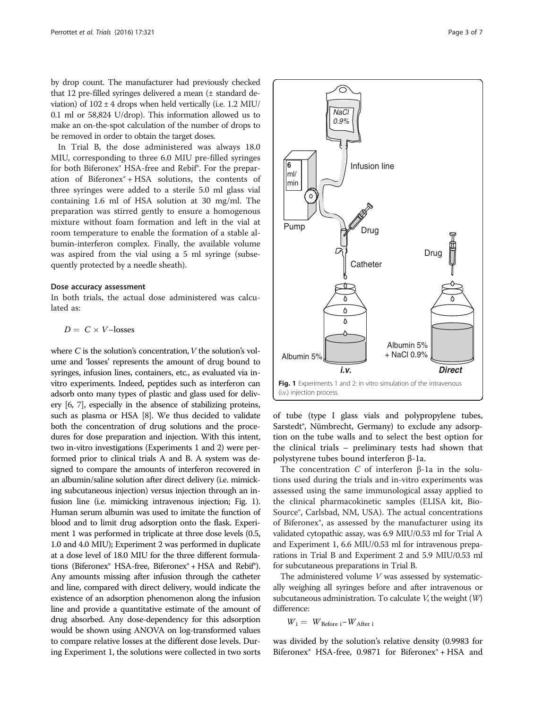<span id="page-2-0"></span>by drop count. The manufacturer had previously checked that 12 pre-filled syringes delivered a mean (± standard deviation) of  $102 \pm 4$  drops when held vertically (i.e. 1.2 MIU/ 0.1 ml or 58,824 U/drop). This information allowed us to make an on-the-spot calculation of the number of drops to be removed in order to obtain the target doses.

In Trial B, the dose administered was always 18.0 MIU, corresponding to three 6.0 MIU pre-filled syringes for both Biferonex® HSA-free and Rebif®. For the preparation of Biferonex® + HSA solutions, the contents of three syringes were added to a sterile 5.0 ml glass vial containing 1.6 ml of HSA solution at 30 mg/ml. The preparation was stirred gently to ensure a homogenous mixture without foam formation and left in the vial at room temperature to enable the formation of a stable albumin-interferon complex. Finally, the available volume was aspired from the vial using a 5 ml syringe (subsequently protected by a needle sheath).

#### Dose accuracy assessment

In both trials, the actual dose administered was calculated as:

$$
D = C \times V \text{-losses}
$$

where  $C$  is the solution's concentration,  $V$  the solution's volume and 'losses' represents the amount of drug bound to syringes, infusion lines, containers, etc., as evaluated via invitro experiments. Indeed, peptides such as interferon can adsorb onto many types of plastic and glass used for delivery [\[6](#page-6-0), [7\]](#page-6-0), especially in the absence of stabilizing proteins, such as plasma or HSA [\[8](#page-6-0)]. We thus decided to validate both the concentration of drug solutions and the procedures for dose preparation and injection. With this intent, two in-vitro investigations (Experiments 1 and 2) were performed prior to clinical trials A and B. A system was designed to compare the amounts of interferon recovered in an albumin/saline solution after direct delivery (i.e. mimicking subcutaneous injection) versus injection through an infusion line (i.e. mimicking intravenous injection; Fig. 1). Human serum albumin was used to imitate the function of blood and to limit drug adsorption onto the flask. Experiment 1 was performed in triplicate at three dose levels (0.5, 1.0 and 4.0 MIU); Experiment 2 was performed in duplicate at a dose level of 18.0 MIU for the three different formulations (Biferonex® HSA-free, Biferonex® + HSA and Rebif®). Any amounts missing after infusion through the catheter and line, compared with direct delivery, would indicate the existence of an adsorption phenomenon along the infusion line and provide a quantitative estimate of the amount of drug absorbed. Any dose-dependency for this adsorption would be shown using ANOVA on log-transformed values to compare relative losses at the different dose levels. During Experiment 1, the solutions were collected in two sorts



of tube (type I glass vials and polypropylene tubes, Sarstedt®, Nümbrecht, Germany) to exclude any adsorption on the tube walls and to select the best option for the clinical trials – preliminary tests had shown that polystyrene tubes bound interferon β-1a.

The concentration C of interferon β-1a in the solutions used during the trials and in-vitro experiments was assessed using the same immunological assay applied to the clinical pharmacokinetic samples (ELISA kit, Bio-Source®, Carlsbad, NM, USA). The actual concentrations of Biferonex®, as assessed by the manufacturer using its validated cytopathic assay, was 6.9 MIU/0.53 ml for Trial A and Experiment 1, 6.6 MIU/0.53 ml for intravenous preparations in Trial B and Experiment 2 and 5.9 MIU/0.53 ml for subcutaneous preparations in Trial B.

The administered volume V was assessed by systematically weighing all syringes before and after intravenous or subcutaneous administration. To calculate  $V$ , the weight  $(W)$ difference:

$$
\textit{W}_i = \textit{W}_{\text{Before }i} - \textit{W}_{\text{After }i}
$$

was divided by the solution's relative density (0.9983 for Biferonex® HSA-free, 0.9871 for Biferonex® + HSA and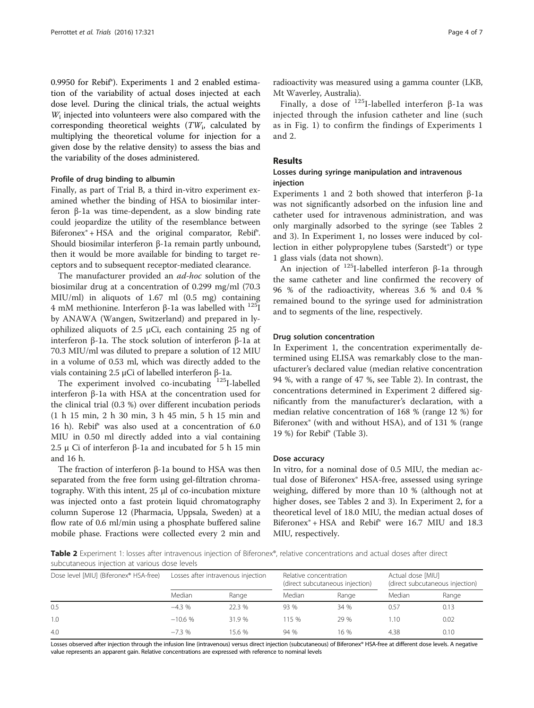0.9950 for Rebif®). Experiments 1 and 2 enabled estimation of the variability of actual doses injected at each dose level. During the clinical trials, the actual weights  $W_i$  injected into volunteers were also compared with the corresponding theoretical weights  $(TW_i)$ , calculated by multiplying the theoretical volume for injection for a given dose by the relative density) to assess the bias and the variability of the doses administered.

#### Profile of drug binding to albumin

Finally, as part of Trial B, a third in-vitro experiment examined whether the binding of HSA to biosimilar interferon β-1a was time-dependent, as a slow binding rate could jeopardize the utility of the resemblance between Biferonex® + HSA and the original comparator, Rebif®. Should biosimilar interferon β-1a remain partly unbound, then it would be more available for binding to target receptors and to subsequent receptor-mediated clearance.

The manufacturer provided an *ad-hoc* solution of the biosimilar drug at a concentration of 0.299 mg/ml (70.3 MIU/ml) in aliquots of 1.67 ml (0.5 mg) containing 4 mM methionine. Interferon β-1a was labelled with <sup>125</sup>I by ANAWA (Wangen, Switzerland) and prepared in lyophilized aliquots of 2.5 μCi, each containing 25 ng of interferon β-1a. The stock solution of interferon β-1a at 70.3 MIU/ml was diluted to prepare a solution of 12 MIU in a volume of 0.53 ml, which was directly added to the vials containing 2.5 μCi of labelled interferon β-1a.

The experiment involved co-incubating  $125$ I-labelled interferon β-1a with HSA at the concentration used for the clinical trial (0.3 %) over different incubation periods (1 h 15 min, 2 h 30 min, 3 h 45 min, 5 h 15 min and 16 h). Rebif® was also used at a concentration of 6.0 MIU in 0.50 ml directly added into a vial containing 2.5 μ Ci of interferon β-1a and incubated for 5 h 15 min and 16 h.

The fraction of interferon β-1a bound to HSA was then separated from the free form using gel-filtration chromatography. With this intent, 25 μl of co-incubation mixture was injected onto a fast protein liquid chromatography column Superose 12 (Pharmacia, Uppsala, Sweden) at a flow rate of 0.6 ml/min using a phosphate buffered saline mobile phase. Fractions were collected every 2 min and

radioactivity was measured using a gamma counter (LKB, Mt Waverley, Australia).

Finally, a dose of  $125$ I-labelled interferon β-1a was injected through the infusion catheter and line (such as in Fig. [1](#page-2-0)) to confirm the findings of Experiments 1 and 2.

### Results

#### Losses during syringe manipulation and intravenous injection

Experiments 1 and 2 both showed that interferon β-1a was not significantly adsorbed on the infusion line and catheter used for intravenous administration, and was only marginally adsorbed to the syringe (see Tables 2 and [3](#page-4-0)). In Experiment 1, no losses were induced by collection in either polypropylene tubes (Sarstedt®) or type 1 glass vials (data not shown).

An injection of  $125$ I-labelled interferon β-1a through the same catheter and line confirmed the recovery of 96 % of the radioactivity, whereas 3.6 % and 0.4 % remained bound to the syringe used for administration and to segments of the line, respectively.

#### Drug solution concentration

In Experiment 1, the concentration experimentally determined using ELISA was remarkably close to the manufacturer's declared value (median relative concentration 94 %, with a range of 47 %, see Table 2). In contrast, the concentrations determined in Experiment 2 differed significantly from the manufacturer's declaration, with a median relative concentration of 168 % (range 12 %) for Biferonex® (with and without HSA), and of 131 % (range 19 %) for Rebif® (Table [3\)](#page-4-0).

#### Dose accuracy

In vitro, for a nominal dose of 0.5 MIU, the median actual dose of Biferonex® HSA-free, assessed using syringe weighing, differed by more than 10 % (although not at higher doses, see Tables 2 and [3\)](#page-4-0). In Experiment 2, for a theoretical level of 18.0 MIU, the median actual doses of Biferonex® + HSA and Rebif® were 16.7 MIU and 18.3 MIU, respectively.

Table 2 Experiment 1: losses after intravenous injection of Biferonex®, relative concentrations and actual doses after direct subcutaneous injection at various dose levels

| Dose level [MIU] (Biferonex® HSA-free) | Losses after intravenous injection |        | Relative concentration<br>(direct subcutaneous injection) |       | Actual dose [MIU]<br>(direct subcutaneous injection) |       |
|----------------------------------------|------------------------------------|--------|-----------------------------------------------------------|-------|------------------------------------------------------|-------|
|                                        | Median                             | Range  | Median                                                    | Range | Median                                               | Range |
| 0.5                                    | $-4.3%$                            | 22.3%  | 93 %                                                      | 34 %  | 0.57                                                 | 0.13  |
| 1.0                                    | $-10.6%$                           | 31.9 % | 115%                                                      | 29 %  | 1.10                                                 | 0.02  |
| 4.0                                    | $-7.3%$                            | 15.6 % | 94 %                                                      | 16 %  | 4.38                                                 | 0.10  |

Losses observed after injection through the infusion line (intravenous) versus direct injection (subcutaneous) of Biferonex® HSA-free at different dose levels. A negative value represents an apparent gain. Relative concentrations are expressed with reference to nominal levels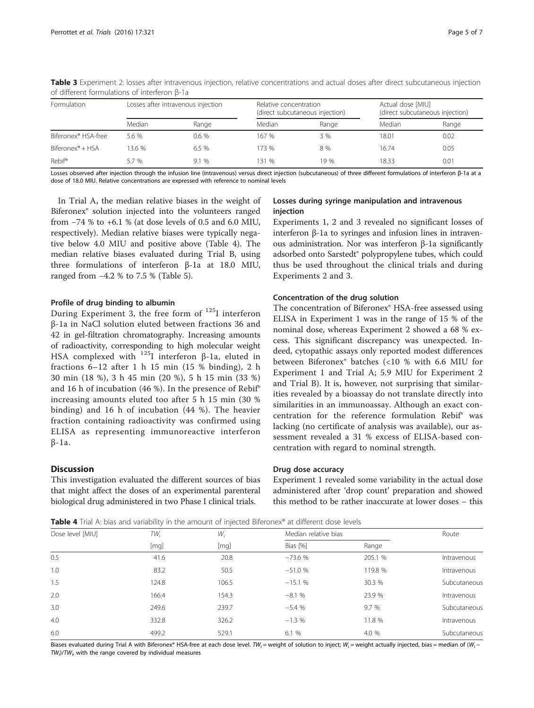| Formulation                     | Losses after intravenous injection |       |        | Relative concentration<br>(direct subcutaneous injection) |        | Actual dose [MIU]<br>(direct subcutaneous injection) |  |
|---------------------------------|------------------------------------|-------|--------|-----------------------------------------------------------|--------|------------------------------------------------------|--|
|                                 | Median                             | Range | Median | Range                                                     | Median | Range                                                |  |
| Biferonex <sup>®</sup> HSA-free | 5.6 %                              | 0.6%  | 167 %  | 3 %                                                       | 18.01  | 0.02                                                 |  |
| $Biferonex^* + HSA$             | 13.6 %                             | 6.5%  | 173 %  | 8 %                                                       | 16.74  | 0.05                                                 |  |
| Rebif®                          | 5.7 %                              | 9.1%  | 131 %  | 19 %                                                      | 18.33  | 0.01                                                 |  |

<span id="page-4-0"></span>Table 3 Experiment 2: losses after intravenous injection, relative concentrations and actual doses after direct subcutaneous injection of different formulations of interferon β-1a

Losses observed after injection through the infusion line (intravenous) versus direct injection (subcutaneous) of three different formulations of interferon β-1a at a dose of 18.0 MIU. Relative concentrations are expressed with reference to nominal levels

In Trial A, the median relative biases in the weight of Biferonex® solution injected into the volunteers ranged from −74 % to +6.1 % (at dose levels of 0.5 and 6.0 MIU, respectively). Median relative biases were typically negative below 4.0 MIU and positive above (Table 4). The median relative biases evaluated during Trial B, using three formulations of interferon β-1a at 18.0 MIU, ranged from −4.2 % to 7.5 % (Table [5\)](#page-5-0).

#### Profile of drug binding to albumin

During Experiment 3, the free form of 125I interferon β-1a in NaCl solution eluted between fractions 36 and 42 in gel-filtration chromatography. Increasing amounts of radioactivity, corresponding to high molecular weight HSA complexed with 125I interferon β-1a, eluted in fractions 6–12 after 1 h 15 min (15 % binding), 2 h 30 min (18 %), 3 h 45 min (20 %), 5 h 15 min (33 %) and 16 h of incubation (46 %). In the presence of Rebif® increasing amounts eluted too after 5 h 15 min (30 % binding) and 16 h of incubation (44 %). The heavier fraction containing radioactivity was confirmed using ELISA as representing immunoreactive interferon β-1a.

#### **Discussion**

This investigation evaluated the different sources of bias that might affect the doses of an experimental parenteral biological drug administered in two Phase I clinical trials.

#### Losses during syringe manipulation and intravenous injection

Experiments 1, 2 and 3 revealed no significant losses of interferon β-1a to syringes and infusion lines in intravenous administration. Nor was interferon β-1a significantly adsorbed onto Sarstedt® polypropylene tubes, which could thus be used throughout the clinical trials and during Experiments 2 and 3.

#### Concentration of the drug solution

The concentration of Biferonex® HSA-free assessed using ELISA in Experiment 1 was in the range of 15 % of the nominal dose, whereas Experiment 2 showed a 68 % excess. This significant discrepancy was unexpected. Indeed, cytopathic assays only reported modest differences between Biferonex® batches (<10 % with 6.6 MIU for Experiment 1 and Trial A; 5.9 MIU for Experiment 2 and Trial B). It is, however, not surprising that similarities revealed by a bioassay do not translate directly into similarities in an immunoassay. Although an exact concentration for the reference formulation Rebif® was lacking (no certificate of analysis was available), our assessment revealed a 31 % excess of ELISA-based concentration with regard to nominal strength.

#### Drug dose accuracy

Experiment 1 revealed some variability in the actual dose administered after 'drop count' preparation and showed this method to be rather inaccurate at lower doses – this

**Table 4** Trial A: bias and variability in the amount of injected Biferonex® at different dose levels

| Dose level [MIU] | TW <sub>i</sub><br>[mq] | W <sub>i</sub><br>[mq] | Median relative bias |         | Route        |
|------------------|-------------------------|------------------------|----------------------|---------|--------------|
|                  |                         |                        | Bias [%]             | Range   |              |
| 0.5              | 41.6                    | 20.8                   | $-73.6%$             | 205.1 % | Intravenous  |
| 1.0              | 83.2                    | 50.5                   | $-51.0%$             | 119.8 % | Intravenous  |
| 1.5              | 124.8                   | 106.5                  | $-15.1%$             | 30.3 %  | Subcutaneous |
| 2.0              | 166.4                   | 154.3                  | $-8.1%$              | 23.9 %  | Intravenous  |
| 3.0              | 249.6                   | 239.7                  | $-5.4%$              | 9.7 %   | Subcutaneous |
| 4.0              | 332.8                   | 326.2                  | $-1.3%$              | 11.8 %  | Intravenous  |
| 6.0              | 499.2                   | 529.1                  | 6.1%                 | 4.0 %   | Subcutaneous |

Biases evaluated during Trial A with Biferonex® HSA-free at each dose level. TW<sub>i</sub> = weight of solution to inject; W<sub>i</sub> = weight actually injected, bias = median of (W<sub>i</sub> - $TW_i$ )/T $W_i$ , with the range covered by individual measures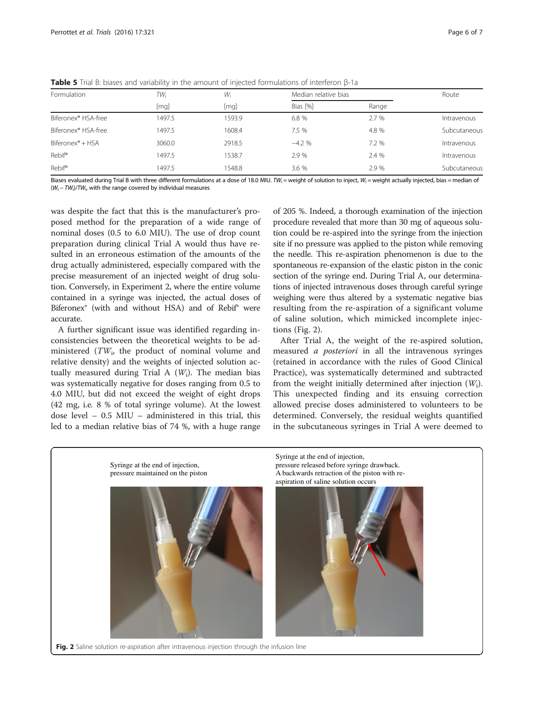| Formulation                     | TW:<br>[mq] | Wi     | Median relative bias |         | Route        |
|---------------------------------|-------------|--------|----------------------|---------|--------------|
|                                 |             | [mq]   | Bias [%]             | Range   |              |
| Biferonex <sup>®</sup> HSA-free | 1497.5      | 1593.9 | 6.8 %                | 2.7%    | Intravenous  |
| Biferonex <sup>®</sup> HSA-free | 1497.5      | 1608.4 | 7.5 %                | 4.8 %   | Subcutaneous |
| Biferonex <sup>®</sup> + HSA    | 3060.0      | 2918.5 | $-4.2%$              | $7.2\%$ | Intravenous  |
| <b>Rebif®</b>                   | 1497.5      | 1538.7 | 2.9 %                | 2.4 %   | Intravenous  |
| <b>Rebif®</b>                   | 1497.5      | 1548.8 | 3.6 %                | 2.9%    | Subcutaneous |

<span id="page-5-0"></span>Table 5 Trial B: biases and variability in the amount of injected formulations of interferon β-1a

Biases evaluated during Trial B with three different formulations at a dose of 18.0 MIU. TW<sub>i</sub> = weight of solution to inject, W<sub>i</sub> = weight actually injected, bias = median of  $(W_i - TW_i)/TW_i$ , with the range covered by individual measures

was despite the fact that this is the manufacturer's proposed method for the preparation of a wide range of nominal doses (0.5 to 6.0 MIU). The use of drop count preparation during clinical Trial A would thus have resulted in an erroneous estimation of the amounts of the drug actually administered, especially compared with the precise measurement of an injected weight of drug solution. Conversely, in Experiment 2, where the entire volume contained in a syringe was injected, the actual doses of Biferonex® (with and without HSA) and of Rebif® were accurate.

A further significant issue was identified regarding inconsistencies between the theoretical weights to be administered  $(TW_i)$ , the product of nominal volume and relative density) and the weights of injected solution actually measured during Trial A  $(W_i)$ . The median bias was systematically negative for doses ranging from 0.5 to 4.0 MIU, but did not exceed the weight of eight drops (42 mg, i.e. 8 % of total syringe volume). At the lowest dose level – 0.5 MIU – administered in this trial, this led to a median relative bias of 74 %, with a huge range of 205 %. Indeed, a thorough examination of the injection procedure revealed that more than 30 mg of aqueous solution could be re-aspired into the syringe from the injection site if no pressure was applied to the piston while removing the needle. This re-aspiration phenomenon is due to the spontaneous re-expansion of the elastic piston in the conic section of the syringe end. During Trial A, our determinations of injected intravenous doses through careful syringe weighing were thus altered by a systematic negative bias resulting from the re-aspiration of a significant volume of saline solution, which mimicked incomplete injections (Fig. 2).

After Trial A, the weight of the re-aspired solution, measured a posteriori in all the intravenous syringes (retained in accordance with the rules of Good Clinical Practice), was systematically determined and subtracted from the weight initially determined after injection  $(W_i)$ . This unexpected finding and its ensuing correction allowed precise doses administered to volunteers to be determined. Conversely, the residual weights quantified in the subcutaneous syringes in Trial A were deemed to



Fig. 2 Saline solution re-aspiration after intravenous injection through the infusion line